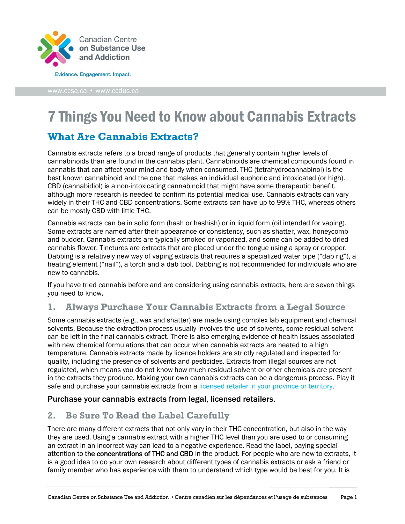

# 7 Things You Need to Know about Cannabis Extracts

## **What Are Cannabis Extracts?**

Cannabis extracts refers to a broad range of products that generally contain higher levels of cannabinoids than are found in the cannabis plant. Cannabinoids are chemical compounds found in cannabis that can affect your mind and body when consumed. THC (tetrahydrocannabinol) is the best known cannabinoid and the one that makes an individual euphoric and intoxicated (or high). CBD (cannabidiol) is a non-intoxicating cannabinoid that might have some therapeutic benefit, although more research is needed to confirm its potential medical use. Cannabis extracts can vary widely in their THC and CBD concentrations. Some extracts can have up to 99% THC, whereas others can be mostly CBD with little THC.

Cannabis extracts can be in solid form (hash or hashish) or in liquid form (oil intended for vaping). Some extracts are named after their appearance or consistency, such as shatter, wax, honeycomb and budder. Cannabis extracts are typically smoked or vaporized, and some can be added to dried cannabis flower. Tinctures are extracts that are placed under the tongue using a spray or dropper. Dabbing is a relatively new way of vaping extracts that requires a specialized water pipe ("dab rig"), a heating element ("nail"), a torch and a dab tool. Dabbing is not recommended for individuals who are new to cannabis.

If you have tried cannabis before and are considering using cannabis extracts, here are seven things you need to know.

## **1. Always Purchase Your Cannabis Extracts from a Legal Source**

Some cannabis extracts (e.g., wax and shatter) are made using complex lab equipment and chemical solvents. Because the extraction process usually involves the use of solvents, some residual solvent can be left in the final cannabis extract. There is also emerging evidence of health issues associated with new chemical formulations that can occur when cannabis extracts are heated to a high temperature. Cannabis extracts made by licence holders are strictly regulated and inspected for quality, including the presence of solvents and pesticides. Extracts from illegal sources are not regulated, which means you do not know how much residual solvent or other chemicals are present in the extracts they produce. Making your own cannabis extracts can be a dangerous process. Play it safe and purchase your cannabis extracts from a [licensed retailer in your province or territory.](https://www.canada.ca/en/health-canada/services/drugs-medication/cannabis/laws-regulations/provinces-territories.html)

#### Purchase your cannabis extracts from legal, licensed retailers.

## **2. Be Sure To Read the Label Carefully**

There are many different extracts that not only vary in their THC concentration, but also in the way they are used. Using a cannabis extract with a higher THC level than you are used to or consuming an extract in an incorrect way can lead to a negative experience. Read the label, paying special attention to the concentrations of THC and CBD in the product. For people who are new to extracts, it is a good idea to do your own research about different types of cannabis extracts or ask a friend or family member who has experience with them to understand which type would be best for you. It is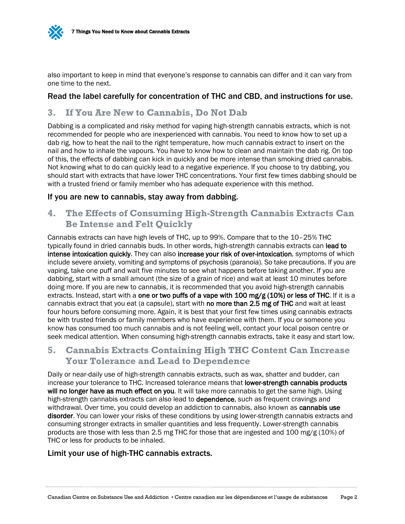

also important to keep in mind that everyone's response to cannabis can differ and it can vary from one time to the next.

#### Read the label carefully for concentration of THC and CBD, and instructions for use.

#### **3. If You Are New to Cannabis, Do Not Dab**

Dabbing is a complicated and risky method for vaping high-strength cannabis extracts, which is not recommended for people who are inexperienced with cannabis. You need to know how to set up a dab rig, how to heat the nail to the right temperature, how much cannabis extract to insert on the nail and how to inhale the vapours. You have to know how to clean and maintain the dab rig. On top of this, the effects of dabbing can kick in quickly and be more intense than smoking dried cannabis. Not knowing what to do can quickly lead to a negative experience. If you choose to try dabbing, you should start with extracts that have lower THC concentrations. Your first few times dabbing should be with a trusted friend or family member who has adequate experience with this method.

#### If you are new to cannabis, stay away from dabbing.

## **4. The Effects of Consuming High-Strength Cannabis Extracts Can Be Intense and Felt Quickly**

Cannabis extracts can have high levels of THC, up to 99%. Compare that to the 10–25% THC typically found in dried cannabis buds. In other words, high-strength cannabis extracts can lead to intense intoxication quickly. They can also increase your risk of over-intoxication, symptoms of which include severe anxiety, vomiting and symptoms of psychosis (paranoia). So take precautions. If you are vaping, take one puff and wait five minutes to see what happens before taking another. If you are dabbing, start with a small amount (the size of a grain of rice) and wait at least 10 minutes before doing more. If you are new to cannabis, it is recommended that you avoid high-strength cannabis extracts. Instead, start with a one or two puffs of a vape with 100 mg/g (10%) or less of THC. If it is a cannabis extract that you eat (a capsule), start with no more than 2.5 mg of THC and wait at least four hours before consuming more. Again, it is best that your first few times using cannabis extracts be with trusted friends or family members who have experience with them. If you or someone you know has consumed too much cannabis and is not feeling well, contact your local poison centre or seek medical attention. When consuming high-strength cannabis extracts, take it easy and start low.

## **5. Cannabis Extracts Containing High THC Content Can Increase Your Tolerance and Lead to Dependence**

Daily or near-daily use of high-strength cannabis extracts, such as wax, shatter and budder, can increase your tolerance to THC. Increased tolerance means that **lower-strength cannabis products** will no longer have as much effect on you*.* It will take more cannabis to get the same high. Using high-strength cannabis extracts can also lead to **dependence**, such as frequent cravings and withdrawal. Over time, you could develop an addiction to cannabis, also known as cannabis use disorder. You can lower your risks of these conditions by using lower-strength cannabis extracts and consuming stronger extracts in smaller quantities and less frequently. Lower-strength cannabis products are those with less than 2.5 mg THC for those that are ingested and 100 mg/g (10%) of THC or less for products to be inhaled.

#### Limit your use of high-THC cannabis extracts.